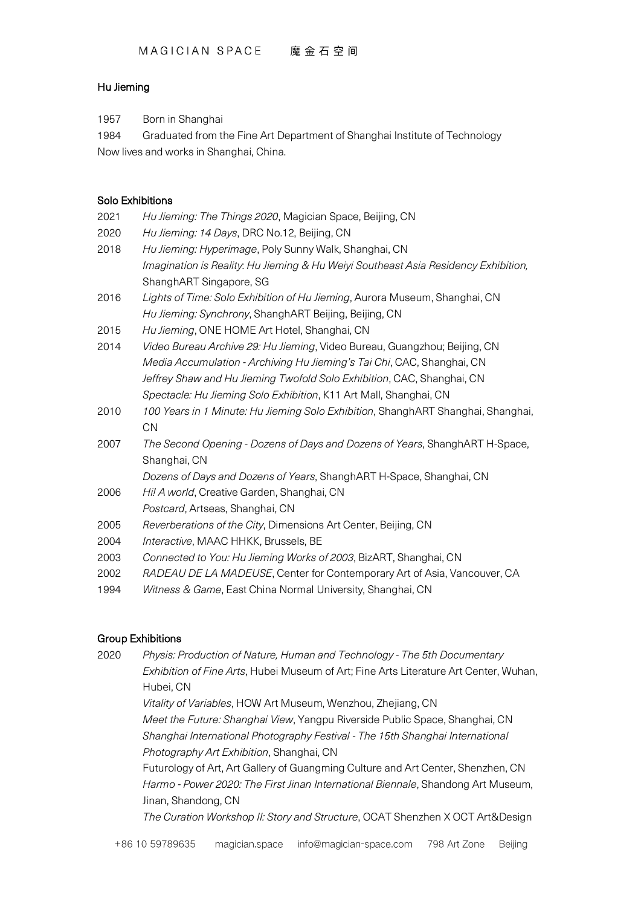# Hu Jieming

1957 Born in Shanghai

1984 Graduated from the Fine Art Department of Shanghai Institute of Technology Now lives and works in Shanghai, China.

## Solo Exhibitions

| 2021 | Hu Jieming: The Things 2020, Magician Space, Beijing, CN                           |
|------|------------------------------------------------------------------------------------|
| 2020 | Hu Jieming: 14 Days, DRC No.12, Beijing, CN                                        |
| 2018 | Hu Jieming: Hyperimage, Poly Sunny Walk, Shanghai, CN                              |
|      | Imagination is Reality. Hu Jieming & Hu Weiyi Southeast Asia Residency Exhibition, |
|      | ShanghART Singapore, SG                                                            |
| 2016 | Lights of Time: Solo Exhibition of Hu Jieming, Aurora Museum, Shanghai, CN         |
|      | Hu Jieming: Synchrony, ShanghART Beijing, Beijing, CN                              |
| 2015 | Hu Jieming, ONE HOME Art Hotel, Shanghai, CN                                       |
| 2014 | Video Bureau Archive 29: Hu Jieming, Video Bureau, Guangzhou; Beijing, CN          |
|      | Media Accumulation - Archiving Hu Jieming's Tai Chi, CAC, Shanghai, CN             |
|      | Jeffrey Shaw and Hu Jieming Twofold Solo Exhibition, CAC, Shanghai, CN             |
|      | Spectacle: Hu Jieming Solo Exhibition, K11 Art Mall, Shanghai, CN                  |
| 2010 | 100 Years in 1 Minute: Hu Jieming Solo Exhibition, ShanghART Shanghai, Shanghai,   |
|      | CN                                                                                 |
| 2007 | The Second Opening - Dozens of Days and Dozens of Years, ShanghART H-Space,        |
|      | Shanghai, CN                                                                       |
|      | Dozens of Days and Dozens of Years, ShanghART H-Space, Shanghai, CN                |
| 2006 | Hi! A world, Creative Garden, Shanghai, CN                                         |
|      | Postcard, Artseas, Shanghai, CN                                                    |
| 2005 | Reverberations of the City, Dimensions Art Center, Beijing, CN                     |
| 2004 | Interactive, MAAC HHKK, Brussels, BE                                               |
| 2003 | Connected to You: Hu Jieming Works of 2003, BizART, Shanghai, CN                   |
| 2002 | RADEAU DE LA MADEUSE, Center for Contemporary Art of Asia, Vancouver, CA           |
| 1994 | Witness & Game, East China Normal University, Shanghai, CN                         |
|      |                                                                                    |

### Group Exhibitions

2020 *Physis: Production of Nature, Human and Technology - The 5th Documentary Exhibition of Fine Arts*, Hubei Museum of Art; Fine Arts Literature Art Center, Wuhan, Hubei, CN *Vitality of Variables*, HOW Art Museum, Wenzhou, Zhejiang, CN *Meet the Future: Shanghai View*, Yangpu Riverside Public Space, Shanghai, CN *Shanghai International Photography Festival - The 15th Shanghai International Photography Art Exhibition*, Shanghai, CN Futurology of Art, Art Gallery of Guangming Culture and Art Center, Shenzhen, CN *Harmo - Power 2020: The First Jinan International Biennale*, Shandong Art Museum, Jinan, Shandong, CN *The Curation Workshop II: Story and Structure*, OCAT Shenzhen X OCT Art&Design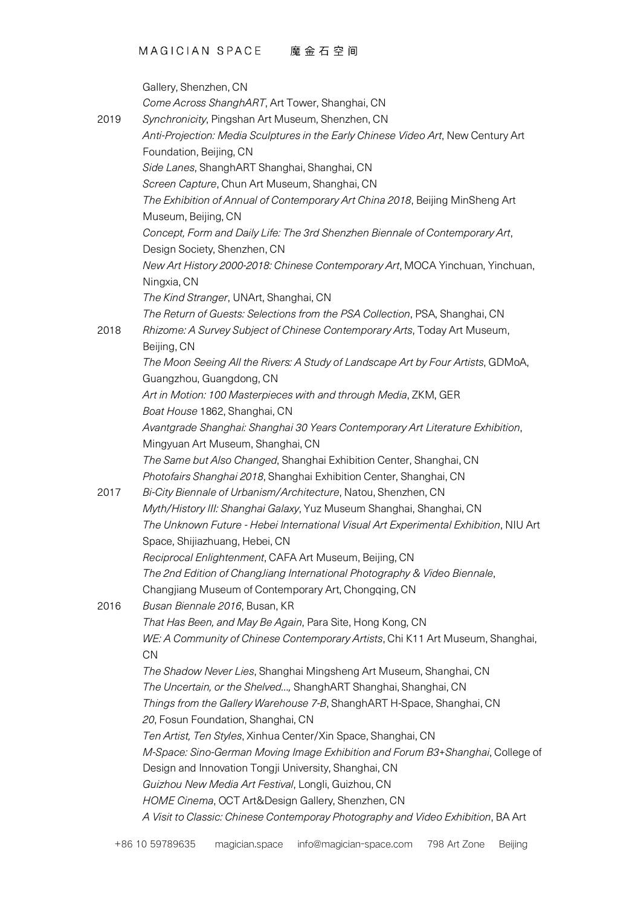|      | Gallery, Shenzhen, CN                                                                |
|------|--------------------------------------------------------------------------------------|
|      | Come Across ShanghART, Art Tower, Shanghai, CN                                       |
| 2019 | Synchronicity, Pingshan Art Museum, Shenzhen, CN                                     |
|      | Anti-Projection: Media Sculptures in the Early Chinese Video Art, New Century Art    |
|      | Foundation, Beijing, CN                                                              |
|      | Side Lanes, ShanghART Shanghai, Shanghai, CN                                         |
|      | Screen Capture, Chun Art Museum, Shanghai, CN                                        |
|      | The Exhibition of Annual of Contemporary Art China 2018, Beijing MinSheng Art        |
|      | Museum, Beijing, CN                                                                  |
|      | Concept, Form and Daily Life: The 3rd Shenzhen Biennale of Contemporary Art,         |
|      | Design Society, Shenzhen, CN                                                         |
|      | New Art History 2000-2018: Chinese Contemporary Art, MOCA Yinchuan, Yinchuan,        |
|      | Ningxia, CN                                                                          |
|      | The Kind Stranger, UNArt, Shanghai, CN                                               |
|      | The Return of Guests: Selections from the PSA Collection, PSA, Shanghai, CN          |
| 2018 | Rhizome: A Survey Subject of Chinese Contemporary Arts, Today Art Museum,            |
|      | Beijing, CN                                                                          |
|      | The Moon Seeing All the Rivers: A Study of Landscape Art by Four Artists, GDMoA,     |
|      | Guangzhou, Guangdong, CN                                                             |
|      | Art in Motion: 100 Masterpieces with and through Media, ZKM, GER                     |
|      | Boat House 1862, Shanghai, CN                                                        |
|      | Avantgrade Shanghai: Shanghai 30 Years Contemporary Art Literature Exhibition,       |
|      | Mingyuan Art Museum, Shanghai, CN                                                    |
|      |                                                                                      |
|      | The Same but Also Changed, Shanghai Exhibition Center, Shanghai, CN                  |
| 2017 | Photofairs Shanghai 2018, Shanghai Exhibition Center, Shanghai, CN                   |
|      | Bi-City Biennale of Urbanism/Architecture, Natou, Shenzhen, CN                       |
|      | Myth/History III: Shanghai Galaxy, Yuz Museum Shanghai, Shanghai, CN                 |
|      | The Unknown Future - Hebei International Visual Art Experimental Exhibition, NIU Art |
|      | Space, Shijiazhuang, Hebei, CN                                                       |
|      | Reciprocal Enlightenment, CAFA Art Museum, Beijing, CN                               |
|      | The 2nd Edition of ChangJiang International Photography & Video Biennale,            |
|      | Changjiang Museum of Contemporary Art, Chongqing, CN                                 |
| 2016 | Busan Biennale 2016, Busan, KR                                                       |
|      | That Has Been, and May Be Again, Para Site, Hong Kong, CN                            |
|      | WE: A Community of Chinese Contemporary Artists, Chi K11 Art Museum, Shanghai,       |
|      | CN                                                                                   |
|      | The Shadow Never Lies, Shanghai Mingsheng Art Museum, Shanghai, CN                   |
|      | The Uncertain, or the Shelved, ShanghART Shanghai, Shanghai, CN                      |
|      | Things from the Gallery Warehouse 7-B, ShanghART H-Space, Shanghai, CN               |
|      | 20, Fosun Foundation, Shanghai, CN                                                   |
|      | Ten Artist, Ten Styles, Xinhua Center/Xin Space, Shanghai, CN                        |
|      | M-Space: Sino-German Moving Image Exhibition and Forum B3+Shanghai, College of       |
|      | Design and Innovation Tongji University, Shanghai, CN                                |
|      | Guizhou New Media Art Festival, Longli, Guizhou, CN                                  |
|      | HOME Cinema, OCT Art&Design Gallery, Shenzhen, CN                                    |
|      | A Visit to Classic: Chinese Contemporay Photography and Video Exhibition, BA Art     |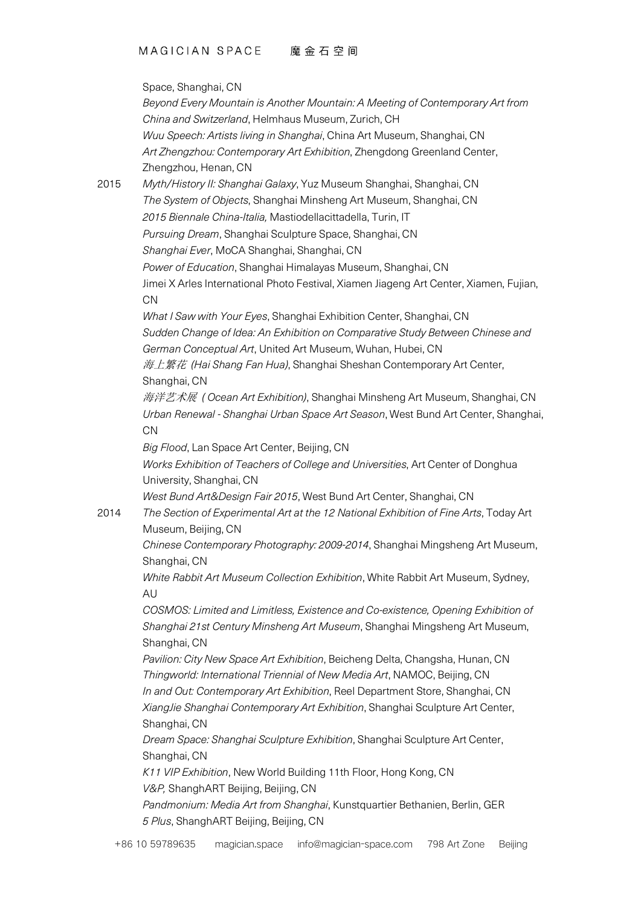|      | Space, Shanghai, CN                                                                                                                         |
|------|---------------------------------------------------------------------------------------------------------------------------------------------|
|      | Beyond Every Mountain is Another Mountain: A Meeting of Contemporary Art from                                                               |
|      | China and Switzerland, Helmhaus Museum, Zurich, CH                                                                                          |
|      | Wuu Speech: Artists living in Shanghai, China Art Museum, Shanghai, CN                                                                      |
|      | Art Zhengzhou: Contemporary Art Exhibition, Zhengdong Greenland Center,<br>Zhengzhou, Henan, CN                                             |
| 2015 | Myth/History II: Shanghai Galaxy, Yuz Museum Shanghai, Shanghai, CN                                                                         |
|      | The System of Objects, Shanghai Minsheng Art Museum, Shanghai, CN                                                                           |
|      | 2015 Biennale China-Italia, Mastiodellacittadella, Turin, IT                                                                                |
|      | Pursuing Dream, Shanghai Sculpture Space, Shanghai, CN                                                                                      |
|      | Shanghai Ever, MoCA Shanghai, Shanghai, CN                                                                                                  |
|      | Power of Education, Shanghai Himalayas Museum, Shanghai, CN                                                                                 |
|      | Jimei X Arles International Photo Festival, Xiamen Jiageng Art Center, Xiamen, Fujian,<br><b>CN</b>                                         |
|      | What I Saw with Your Eyes, Shanghai Exhibition Center, Shanghai, CN                                                                         |
|      | Sudden Change of Idea: An Exhibition on Comparative Study Between Chinese and<br>German Conceptual Art, United Art Museum, Wuhan, Hubei, CN |
|      | 海上繁花 (Hai Shang Fan Hua), Shanghai Sheshan Contemporary Art Center,<br>Shanghai, CN                                                         |
|      | 海洋艺术展 (Ocean Art Exhibition), Shanghai Minsheng Art Museum, Shanghai, CN                                                                    |
|      | Urban Renewal - Shanghai Urban Space Art Season, West Bund Art Center, Shanghai,                                                            |
|      | <b>CN</b>                                                                                                                                   |
|      | Big Flood, Lan Space Art Center, Beijing, CN                                                                                                |
|      | Works Exhibition of Teachers of College and Universities, Art Center of Donghua                                                             |
|      | University, Shanghai, CN                                                                                                                    |
|      | West Bund Art&Design Fair 2015, West Bund Art Center, Shanghai, CN                                                                          |
| 2014 | The Section of Experimental Art at the 12 National Exhibition of Fine Arts, Today Art<br>Museum, Beijing, CN                                |
|      | Chinese Contemporary Photography: 2009-2014, Shanghai Mingsheng Art Museum,                                                                 |
|      | Shanghai, CN                                                                                                                                |
|      | White Rabbit Art Museum Collection Exhibition, White Rabbit Art Museum, Sydney,<br>AU                                                       |
|      | COSMOS: Limited and Limitless, Existence and Co-existence, Opening Exhibition of                                                            |
|      | Shanghai 21st Century Minsheng Art Museum, Shanghai Mingsheng Art Museum,<br>Shanghai, CN                                                   |
|      | Pavilion: City New Space Art Exhibition, Beicheng Delta, Changsha, Hunan, CN                                                                |
|      | Thingworld: International Triennial of New Media Art, NAMOC, Beijing, CN                                                                    |
|      | In and Out: Contemporary Art Exhibition, Reel Department Store, Shanghai, CN                                                                |
|      | XiangJie Shanghai Contemporary Art Exhibition, Shanghai Sculpture Art Center,<br>Shanghai, CN                                               |
|      | Dream Space: Shanghai Sculpture Exhibition, Shanghai Sculpture Art Center,                                                                  |
|      | Shanghai, CN                                                                                                                                |
|      | K11 VIP Exhibition, New World Building 11th Floor, Hong Kong, CN                                                                            |
|      | V&P, ShanghART Beijing, Beijing, CN                                                                                                         |
|      | Pandmonium: Media Art from Shanghai, Kunstquartier Bethanien, Berlin, GER                                                                   |
|      | 5 Plus, ShanghART Beijing, Beijing, CN                                                                                                      |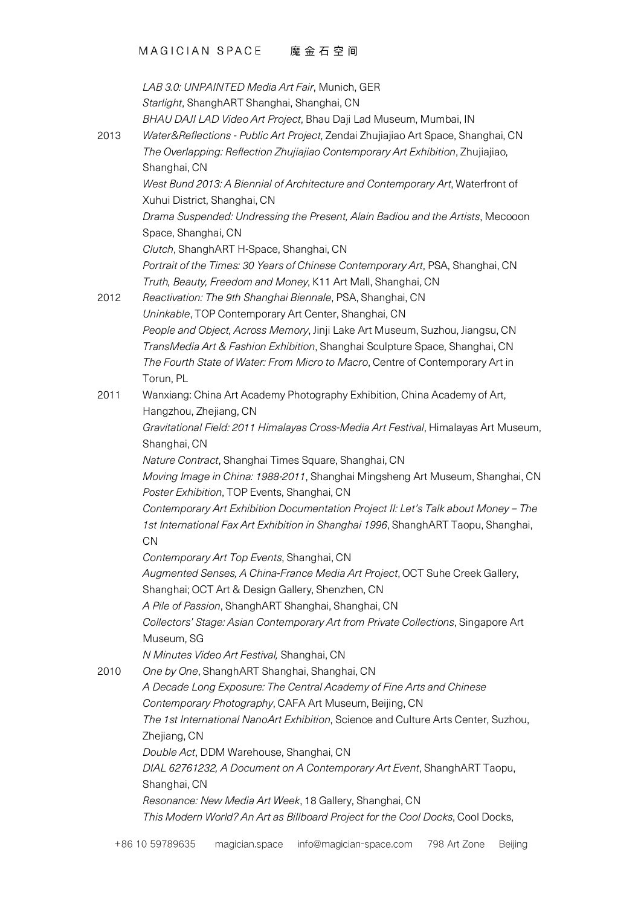|      | LAB 3.0: UNPAINTED Media Art Fair, Munich, GER<br>Starlight, ShanghART Shanghai, Shanghai, CN                              |
|------|----------------------------------------------------------------------------------------------------------------------------|
|      | BHAU DAJI LAD Video Art Project, Bhau Daji Lad Museum, Mumbai, IN                                                          |
| 2013 | Water&Reflections - Public Art Project, Zendai Zhujiajiao Art Space, Shanghai, CN                                          |
|      | The Overlapping: Reflection Zhujiajiao Contemporary Art Exhibition, Zhujiajiao,<br>Shanghai, CN                            |
|      | West Bund 2013: A Biennial of Architecture and Contemporary Art, Waterfront of<br>Xuhui District, Shanghai, CN             |
|      | Drama Suspended: Undressing the Present, Alain Badiou and the Artists, Mecooon                                             |
|      | Space, Shanghai, CN                                                                                                        |
|      | Clutch, ShanghART H-Space, Shanghai, CN                                                                                    |
|      | Portrait of the Times: 30 Years of Chinese Contemporary Art, PSA, Shanghai, CN                                             |
| 2012 | Truth, Beauty, Freedom and Money, K11 Art Mall, Shanghai, CN<br>Reactivation: The 9th Shanghai Biennale, PSA, Shanghai, CN |
|      | Uninkable, TOP Contemporary Art Center, Shanghai, CN                                                                       |
|      | People and Object, Across Memory, Jinji Lake Art Museum, Suzhou, Jiangsu, CN                                               |
|      | TransMedia Art & Fashion Exhibition, Shanghai Sculpture Space, Shanghai, CN                                                |
|      | The Fourth State of Water: From Micro to Macro, Centre of Contemporary Art in                                              |
|      | Torun, PL                                                                                                                  |
| 2011 | Wanxiang: China Art Academy Photography Exhibition, China Academy of Art,                                                  |
|      | Hangzhou, Zhejiang, CN                                                                                                     |
|      | Gravitational Field: 2011 Himalayas Cross-Media Art Festival, Himalayas Art Museum,                                        |
|      | Shanghai, CN                                                                                                               |
|      | Nature Contract, Shanghai Times Square, Shanghai, CN                                                                       |
|      | Moving Image in China: 1988-2011, Shanghai Mingsheng Art Museum, Shanghai, CN                                              |
|      | Poster Exhibition, TOP Events, Shanghai, CN                                                                                |
|      | Contemporary Art Exhibition Documentation Project II: Let's Talk about Money - The                                         |
|      | 1st International Fax Art Exhibition in Shanghai 1996, ShanghART Taopu, Shanghai,                                          |
|      | <b>CN</b>                                                                                                                  |
|      | Contemporary Art Top Events, Shanghai, CN                                                                                  |
|      | Augmented Senses, A China-France Media Art Project, OCT Suhe Creek Gallery,                                                |
|      | Shanghai; OCT Art & Design Gallery, Shenzhen, CN                                                                           |
|      | A Pile of Passion, ShanghART Shanghai, Shanghai, CN                                                                        |
|      | Collectors' Stage: Asian Contemporary Art from Private Collections, Singapore Art                                          |
|      | Museum, SG                                                                                                                 |
|      | N Minutes Video Art Festival, Shanghai, CN                                                                                 |
| 2010 | One by One, ShanghART Shanghai, Shanghai, CN                                                                               |
|      | A Decade Long Exposure: The Central Academy of Fine Arts and Chinese                                                       |
|      | Contemporary Photography, CAFA Art Museum, Beijing, CN                                                                     |
|      | The 1st International NanoArt Exhibition, Science and Culture Arts Center, Suzhou,<br>Zhejiang, CN                         |
|      | Double Act, DDM Warehouse, Shanghai, CN                                                                                    |
|      | DIAL 62761232, A Document on A Contemporary Art Event, ShanghART Taopu,                                                    |
|      | Shanghai, CN                                                                                                               |
|      | Resonance: New Media Art Week, 18 Gallery, Shanghai, CN                                                                    |
|      | This Modern World? An Art as Billboard Project for the Cool Docks, Cool Docks,                                             |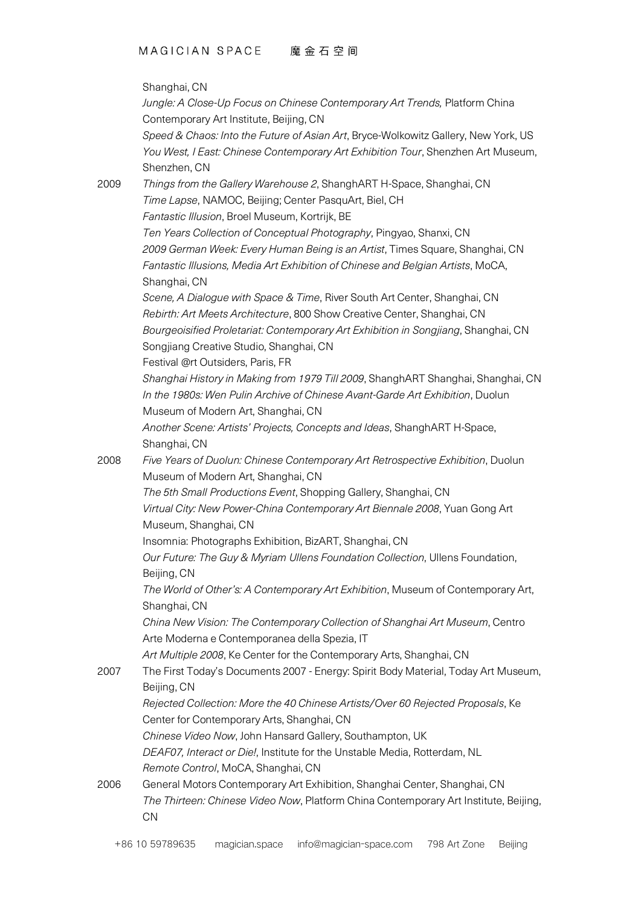|      | Shanghai, CN                                                                         |
|------|--------------------------------------------------------------------------------------|
|      | Jungle: A Close-Up Focus on Chinese Contemporary Art Trends, Platform China          |
|      | Contemporary Art Institute, Beijing, CN                                              |
|      | Speed & Chaos: Into the Future of Asian Art, Bryce-Wolkowitz Gallery, New York, US   |
|      | You West, I East: Chinese Contemporary Art Exhibition Tour, Shenzhen Art Museum,     |
|      | Shenzhen, CN                                                                         |
| 2009 | Things from the Gallery Warehouse 2, ShanghART H-Space, Shanghai, CN                 |
|      | Time Lapse, NAMOC, Beijing; Center PasquArt, Biel, CH                                |
|      | Fantastic Illusion, Broel Museum, Kortrijk, BE                                       |
|      | Ten Years Collection of Conceptual Photography, Pingyao, Shanxi, CN                  |
|      | 2009 German Week: Every Human Being is an Artist, Times Square, Shanghai, CN         |
|      | Fantastic Illusions, Media Art Exhibition of Chinese and Belgian Artists, MoCA,      |
|      | Shanghai, CN                                                                         |
|      | Scene, A Dialogue with Space & Time, River South Art Center, Shanghai, CN            |
|      | Rebirth: Art Meets Architecture, 800 Show Creative Center, Shanghai, CN              |
|      | Bourgeoisified Proletariat: Contemporary Art Exhibition in Songjiang, Shanghai, CN   |
|      | Songjiang Creative Studio, Shanghai, CN                                              |
|      | Festival @rt Outsiders, Paris, FR                                                    |
|      | Shanghai History in Making from 1979 Till 2009, ShanghART Shanghai, Shanghai, CN     |
|      | In the 1980s: Wen Pulin Archive of Chinese Avant-Garde Art Exhibition, Duolun        |
|      | Museum of Modern Art, Shanghai, CN                                                   |
|      | Another Scene: Artists' Projects, Concepts and Ideas, ShanghART H-Space,             |
|      | Shanghai, CN                                                                         |
| 2008 | Five Years of Duolun: Chinese Contemporary Art Retrospective Exhibition, Duolun      |
|      | Museum of Modern Art, Shanghai, CN                                                   |
|      | The 5th Small Productions Event, Shopping Gallery, Shanghai, CN                      |
|      | Virtual City: New Power-China Contemporary Art Biennale 2008, Yuan Gong Art          |
|      | Museum, Shanghai, CN                                                                 |
|      | Insomnia: Photographs Exhibition, BizART, Shanghai, CN                               |
|      | Our Future: The Guy & Myriam Ullens Foundation Collection, Ullens Foundation,        |
|      | Beijing, CN                                                                          |
|      | The World of Other's: A Contemporary Art Exhibition, Museum of Contemporary Art,     |
|      | Shanghai, CN                                                                         |
|      | China New Vision: The Contemporary Collection of Shanghai Art Museum, Centro         |
|      | Arte Moderna e Contemporanea della Spezia, IT                                        |
|      | Art Multiple 2008, Ke Center for the Contemporary Arts, Shanghai, CN                 |
| 2007 | The First Today's Documents 2007 - Energy: Spirit Body Material, Today Art Museum,   |
|      | Beijing, CN                                                                          |
|      | Rejected Collection: More the 40 Chinese Artists/Over 60 Rejected Proposals, Ke      |
|      | Center for Contemporary Arts, Shanghai, CN                                           |
|      | Chinese Video Now, John Hansard Gallery, Southampton, UK                             |
|      | DEAF07, Interact or Die!, Institute for the Unstable Media, Rotterdam, NL            |
|      | Remote Control, MoCA, Shanghai, CN                                                   |
| 2006 | General Motors Contemporary Art Exhibition, Shanghai Center, Shanghai, CN            |
|      | The Thirteen: Chinese Video Now, Platform China Contemporary Art Institute, Beijing, |
|      | CN                                                                                   |
|      |                                                                                      |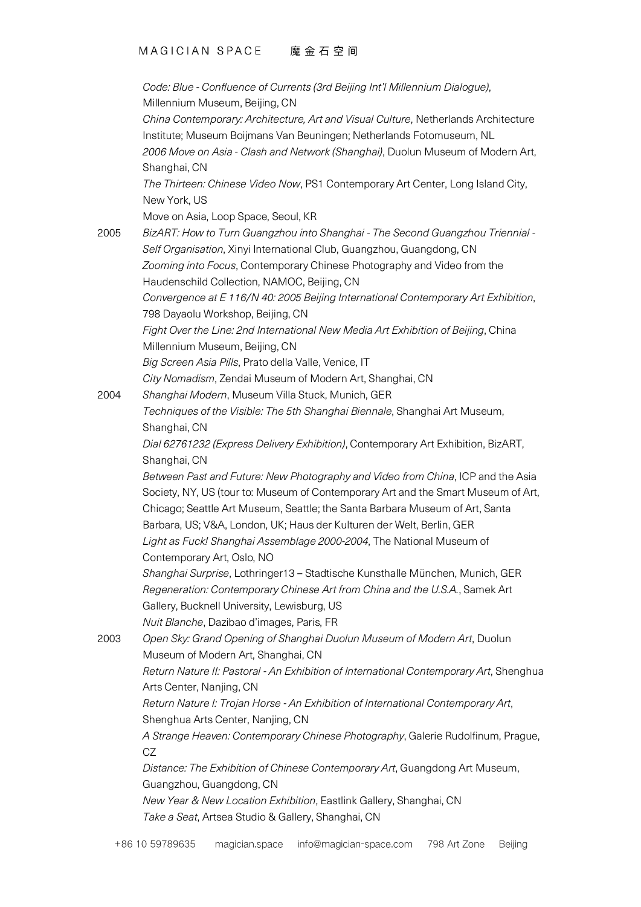#### MAGICIAN SPACE 魔金石空间

*Code: Blue - Confluence of Currents (3rd Beijing Int'l Millennium Dialogue)*, Millennium Museum, Beijing, CN

*China Contemporary: Architecture, Art and Visual Culture*, Netherlands Architecture Institute; Museum Boijmans Van Beuningen; Netherlands Fotomuseum, NL *2006 Move on Asia - Clash and Network (Shanghai)*, Duolun Museum of Modern Art, Shanghai, CN

*The Thirteen: Chinese Video Now*, PS1 Contemporary Art Center, Long Island City, New York, US

Move on Asia, Loop Space, Seoul, KR

2005 *BizART: How to Turn Guangzhou into Shanghai - The Second Guangzhou Triennial - Self Organisation*, Xinyi International Club, Guangzhou, Guangdong, CN *Zooming into Focus*, Contemporary Chinese Photography and Video from the Haudenschild Collection, NAMOC, Beijing, CN *Convergence at E 116/N 40: 2005 Beijing International Contemporary Art Exhibition*, 798 Dayaolu Workshop, Beijing, CN *Fight Over the Line: 2nd International New Media Art Exhibition of Beijing*, China Millennium Museum, Beijing, CN *Big Screen Asia Pills*, Prato della Valle, Venice, IT *City Nomadism*, Zendai Museum of Modern Art, Shanghai, CN 2004 *Shanghai Modern*, Museum Villa Stuck, Munich, GER *Techniques of the Visible: The 5th Shanghai Biennale*, Shanghai Art Museum, Shanghai, CN *Dial 62761232 (Express Delivery Exhibition)*, Contemporary Art Exhibition, BizART, Shanghai, CN *Between Past and Future: New Photography and Video from China*, ICP and the Asia Society, NY, US (tour to: Museum of Contemporary Art and the Smart Museum of Art, Chicago; Seattle Art Museum, Seattle; the Santa Barbara Museum of Art, Santa Barbara, US; V&A, London, UK; Haus der Kulturen der Welt, Berlin, GER *Light as Fuck! Shanghai Assemblage 2000-2004*, The National Museum of Contemporary Art, Oslo, NO *Shanghai Surprise*, Lothringer13 – Stadtische Kunsthalle München, Munich, GER *Regeneration: Contemporary Chinese Art from China and the U.S.A.*, Samek Art Gallery, Bucknell University, Lewisburg, US *Nuit Blanche*, Dazibao d'images, Paris, FR 2003 *Open Sky: Grand Opening of Shanghai Duolun Museum of Modern Art*, Duolun Museum of Modern Art, Shanghai, CN *Return Nature II: Pastoral - An Exhibition of International Contemporary Art*, Shenghua Arts Center, Nanjing, CN *Return Nature I: Trojan Horse - An Exhibition of International Contemporary Art*, Shenghua Arts Center, Nanjing, CN *A Strange Heaven: Contemporary Chinese Photography*, Galerie Rudolfinum, Prague, CZ *Distance: The Exhibition of Chinese Contemporary Art*, Guangdong Art Museum, Guangzhou, Guangdong, CN *New Year & New Location Exhibition*, Eastlink Gallery, Shanghai, CN *Take a Seat*, Artsea Studio & Gallery, Shanghai, CN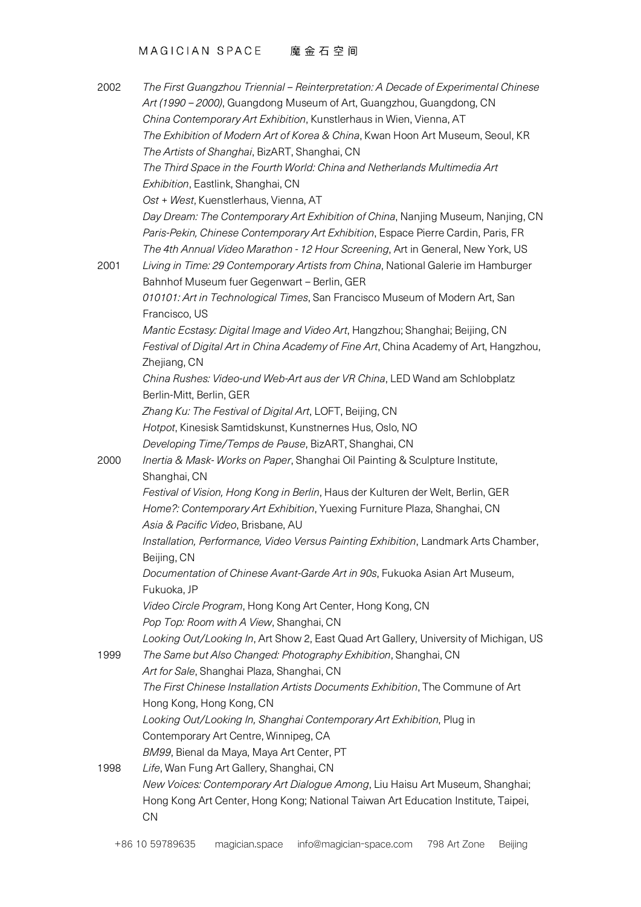```
MAGICIAN SPACE 魔金石空间
```

| 2002 | The First Guangzhou Triennial – Reinterpretation: A Decade of Experimental Chinese<br>Art (1990 - 2000), Guangdong Museum of Art, Guangzhou, Guangdong, CN |
|------|------------------------------------------------------------------------------------------------------------------------------------------------------------|
|      | China Contemporary Art Exhibition, Kunstlerhaus in Wien, Vienna, AT                                                                                        |
|      |                                                                                                                                                            |
|      | The Exhibition of Modern Art of Korea & China, Kwan Hoon Art Museum, Seoul, KR                                                                             |
|      | The Artists of Shanghai, BizART, Shanghai, CN                                                                                                              |
|      | The Third Space in the Fourth World: China and Netherlands Multimedia Art                                                                                  |
|      | Exhibition, Eastlink, Shanghai, CN                                                                                                                         |
|      | Ost + West, Kuenstlerhaus, Vienna, AT                                                                                                                      |
|      | Day Dream: The Contemporary Art Exhibition of China, Nanjing Museum, Nanjing, CN                                                                           |
|      | Paris-Pekin, Chinese Contemporary Art Exhibition, Espace Pierre Cardin, Paris, FR                                                                          |
|      | The 4th Annual Video Marathon - 12 Hour Screening, Art in General, New York, US                                                                            |
| 2001 | Living in Time: 29 Contemporary Artists from China, National Galerie im Hamburger                                                                          |
|      | Bahnhof Museum fuer Gegenwart - Berlin, GER                                                                                                                |
|      | 010101: Art in Technological Times, San Francisco Museum of Modern Art, San                                                                                |
|      | Francisco, US                                                                                                                                              |
|      | Mantic Ecstasy: Digital Image and Video Art, Hangzhou; Shanghai; Beijing, CN                                                                               |
|      | Festival of Digital Art in China Academy of Fine Art, China Academy of Art, Hangzhou,                                                                      |
|      | Zhejiang, CN                                                                                                                                               |
|      | China Rushes: Video-und Web-Art aus der VR China, LED Wand am Schlobplatz                                                                                  |
|      | Berlin-Mitt, Berlin, GER                                                                                                                                   |
|      | Zhang Ku: The Festival of Digital Art, LOFT, Beijing, CN                                                                                                   |
|      | Hotpot, Kinesisk Samtidskunst, Kunstnernes Hus, Oslo, NO                                                                                                   |
|      | Developing Time/Temps de Pause, BizART, Shanghai, CN                                                                                                       |
| 2000 | Inertia & Mask-Works on Paper, Shanghai Oil Painting & Sculpture Institute,                                                                                |
|      | Shanghai, CN                                                                                                                                               |
|      | Festival of Vision, Hong Kong in Berlin, Haus der Kulturen der Welt, Berlin, GER                                                                           |
|      | Home?: Contemporary Art Exhibition, Yuexing Furniture Plaza, Shanghai, CN                                                                                  |
|      | Asia & Pacific Video, Brisbane, AU                                                                                                                         |
|      | Installation, Performance, Video Versus Painting Exhibition, Landmark Arts Chamber,                                                                        |
|      | Beijing, CN                                                                                                                                                |
|      | Documentation of Chinese Avant-Garde Art in 90s, Fukuoka Asian Art Museum,                                                                                 |
|      | Fukuoka, JP                                                                                                                                                |
|      | Video Circle Program, Hong Kong Art Center, Hong Kong, CN                                                                                                  |
|      | Pop Top: Room with A View, Shanghai, CN                                                                                                                    |
|      | Looking Out/Looking In, Art Show 2, East Quad Art Gallery, University of Michigan, US                                                                      |
| 1999 | The Same but Also Changed: Photography Exhibition, Shanghai, CN                                                                                            |
|      | Art for Sale, Shanghai Plaza, Shanghai, CN                                                                                                                 |
|      | The First Chinese Installation Artists Documents Exhibition, The Commune of Art                                                                            |
|      | Hong Kong, Hong Kong, CN                                                                                                                                   |
|      | Looking Out/Looking In, Shanghai Contemporary Art Exhibition, Plug in                                                                                      |
|      | Contemporary Art Centre, Winnipeg, CA                                                                                                                      |
|      | BM99, Bienal da Maya, Maya Art Center, PT                                                                                                                  |
| 1998 | Life, Wan Fung Art Gallery, Shanghai, CN                                                                                                                   |
|      | New Voices: Contemporary Art Dialogue Among, Liu Haisu Art Museum, Shanghai;                                                                               |
|      | Hong Kong Art Center, Hong Kong; National Taiwan Art Education Institute, Taipei,                                                                          |
|      | CN                                                                                                                                                         |
|      |                                                                                                                                                            |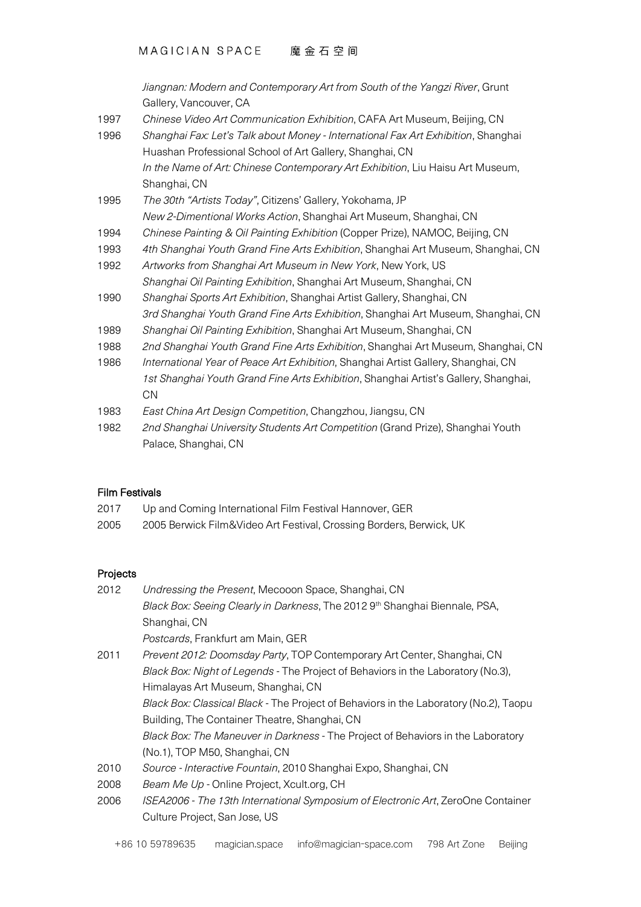*Jiangnan: Modern and Contemporary Art from South of the Yangzi River*, Grunt Gallery, Vancouver, CA

- 1997 *Chinese Video Art Communication Exhibition*, CAFA Art Museum, Beijing, CN
- 1996 *Shanghai Fax: Let's Talk about Money - International Fax Art Exhibition*, Shanghai Huashan Professional School of Art Gallery, Shanghai, CN *In the Name of Art: Chinese Contemporary Art Exhibition*, Liu Haisu Art Museum, Shanghai, CN
- 1995 *The 30th "Artists Today"*, Citizens' Gallery, Yokohama, JP *New 2-Dimentional Works Action*, Shanghai Art Museum, Shanghai, CN
- 1994 *Chinese Painting & Oil Painting Exhibition* (Copper Prize), NAMOC, Beijing, CN
- 1993 *4th Shanghai Youth Grand Fine Arts Exhibition*, Shanghai Art Museum, Shanghai, CN
- 1992 *Artworks from Shanghai Art Museum in New York*, New York, US *Shanghai Oil Painting Exhibition*, Shanghai Art Museum, Shanghai, CN
- 1990 *Shanghai Sports Art Exhibition*, Shanghai Artist Gallery, Shanghai, CN *3rd Shanghai Youth Grand Fine Arts Exhibition*, Shanghai Art Museum, Shanghai, CN
- 1989 *Shanghai Oil Painting Exhibition*, Shanghai Art Museum, Shanghai, CN
- 1988 *2nd Shanghai Youth Grand Fine Arts Exhibition*, Shanghai Art Museum, Shanghai, CN
- 1986 *International Year of Peace Art Exhibition*, Shanghai Artist Gallery, Shanghai, CN *1st Shanghai Youth Grand Fine Arts Exhibition*, Shanghai Artist's Gallery, Shanghai, **CN**
- 1983 *East China Art Design Competition*, Changzhou, Jiangsu, CN
- 1982 *2nd Shanghai University Students Art Competition* (Grand Prize), Shanghai Youth Palace, Shanghai, CN

# Film Festivals

- 2017 Up and Coming International Film Festival Hannover, GER
- 2005 2005 Berwick Film&Video Art Festival, Crossing Borders, Berwick, UK

# Projects

| 2012 | Undressing the Present, Mecooon Space, Shanghai, CN                                          |
|------|----------------------------------------------------------------------------------------------|
|      | Black Box: Seeing Clearly in Darkness, The 2012 9th Shanghai Biennale, PSA,                  |
|      | Shanghai, CN                                                                                 |
|      | <i>Postcards</i> , Frankfurt am Main, GER                                                    |
| 2011 | Prevent 2012: Doomsday Party, TOP Contemporary Art Center, Shanghai, CN                      |
|      | Black Box: Night of Legends - The Project of Behaviors in the Laboratory (No.3),             |
|      | Himalayas Art Museum, Shanghai, CN                                                           |
|      | <i>Black Box: Classical Black</i> - The Project of Behaviors in the Laboratory (No.2), Taopu |
|      | Building, The Container Theatre, Shanghai, CN                                                |
|      | Black Box: The Maneuver in Darkness - The Project of Behaviors in the Laboratory             |
|      | (No.1), TOP M50, Shanghai, CN                                                                |
| 2010 | Source - Interactive Fountain, 2010 Shanghai Expo, Shanghai, CN                              |
| 2008 | Beam Me Up - Online Project, Xcult.org, CH                                                   |
| 2006 | ISEA2006 - The 13th International Symposium of Electronic Art, ZeroOne Container             |
|      | Culture Project, San Jose, US                                                                |